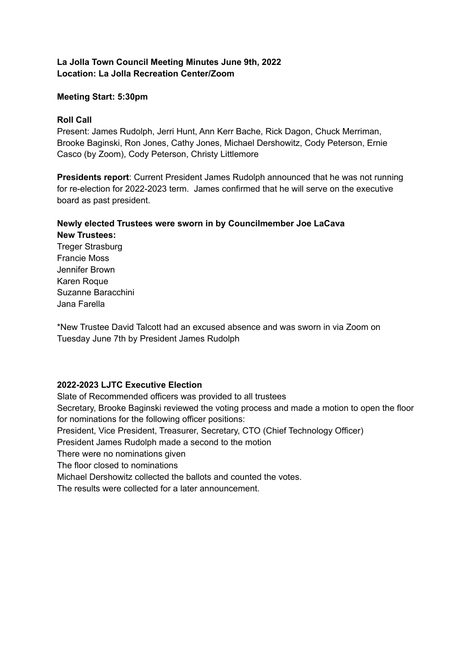## **La Jolla Town Council Meeting Minutes June 9th, 2022 Location: La Jolla Recreation Center/Zoom**

## **Meeting Start: 5:30pm**

## **Roll Call**

Present: James Rudolph, Jerri Hunt, Ann Kerr Bache, Rick Dagon, Chuck Merriman, Brooke Baginski, Ron Jones, Cathy Jones, Michael Dershowitz, Cody Peterson, Ernie Casco (by Zoom), Cody Peterson, Christy Littlemore

**Presidents report**: Current President James Rudolph announced that he was not running for re-election for 2022-2023 term. James confirmed that he will serve on the executive board as past president.

# **Newly elected Trustees were sworn in by Councilmember Joe LaCava**

**New Trustees:** Treger Strasburg Francie Moss Jennifer Brown Karen Roque Suzanne Baracchini Jana Farella

\*New Trustee David Talcott had an excused absence and was sworn in via Zoom on Tuesday June 7th by President James Rudolph

# **2022-2023 LJTC Executive Election**

Slate of Recommended officers was provided to all trustees Secretary, Brooke Baginski reviewed the voting process and made a motion to open the floor for nominations for the following officer positions: President, Vice President, Treasurer, Secretary, CTO (Chief Technology Officer) President James Rudolph made a second to the motion There were no nominations given The floor closed to nominations Michael Dershowitz collected the ballots and counted the votes. The results were collected for a later announcement.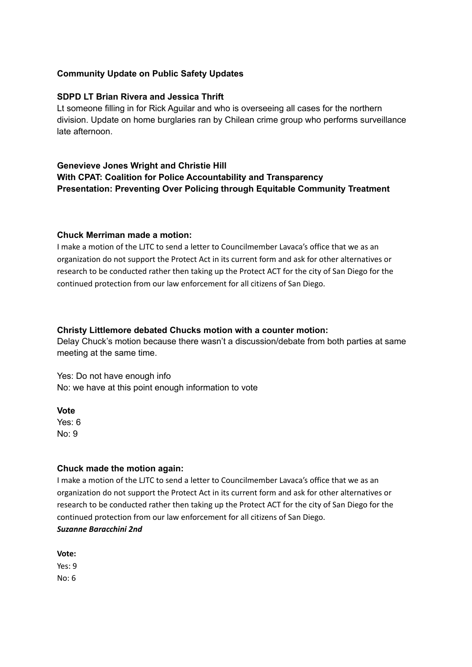### **Community Update on Public Safety Updates**

### **SDPD LT Brian Rivera and Jessica Thrift**

Lt someone filling in for Rick Aguilar and who is overseeing all cases for the northern division. Update on home burglaries ran by Chilean crime group who performs surveillance late afternoon.

# **Genevieve Jones Wright and Christie Hill With CPAT: Coalition for Police Accountability and Transparency Presentation: Preventing Over Policing through Equitable Community Treatment**

#### **Chuck Merriman made a motion:**

I make a motion of the LJTC to send a letter to Councilmember Lavaca's office that we as an organization do not support the Protect Act in its current form and ask for other alternatives or research to be conducted rather then taking up the Protect ACT for the city of San Diego for the continued protection from our law enforcement for all citizens of San Diego.

#### **Christy Littlemore debated Chucks motion with a counter motion:**

Delay Chuck's motion because there wasn't a discussion/debate from both parties at same meeting at the same time.

Yes: Do not have enough info No: we have at this point enough information to vote

**Vote**

Yes: 6 No: 9

### **Chuck made the motion again:**

I make a motion of the LJTC to send a letter to Councilmember Lavaca's office that we as an organization do not support the Protect Act in its current form and ask for other alternatives or research to be conducted rather then taking up the Protect ACT for the city of San Diego for the continued protection from our law enforcement for all citizens of San Diego. *Suzanne Baracchini 2nd*

**Vote:** Yes: 9 No: 6